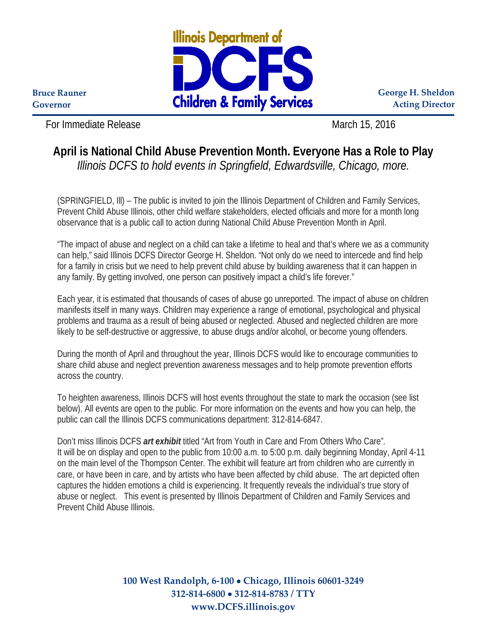

**George H. Sheldon Acting Director**

**Bruce Rauner Governor**

For Immediate Release March 15, 2016

## **April is National Child Abuse Prevention Month. Everyone Has a Role to Play** *Illinois DCFS to hold events in Springfield, Edwardsville, Chicago, more.*

(SPRINGFIELD, Ill) – The public is invited to join the Illinois Department of Children and Family Services, Prevent Child Abuse Illinois, other child welfare stakeholders, elected officials and more for a month long observance that is a public call to action during National Child Abuse Prevention Month in April.

"The impact of abuse and neglect on a child can take a lifetime to heal and that's where we as a community can help," said Illinois DCFS Director George H. Sheldon. "Not only do we need to intercede and find help for a family in crisis but we need to help prevent child abuse by building awareness that it can happen in any family. By getting involved, one person can positively impact a child's life forever."

Each year, it is estimated that thousands of cases of abuse go unreported. The impact of abuse on children manifests itself in many ways. Children may experience a range of emotional, psychological and physical problems and trauma as a result of being abused or neglected. Abused and neglected children are more likely to be self-destructive or aggressive, to abuse drugs and/or alcohol, or become young offenders.

During the month of April and throughout the year, Illinois DCFS would like to encourage communities to share child abuse and neglect prevention awareness messages and to help promote prevention efforts across the country.

To heighten awareness, Illinois DCFS will host events throughout the state to mark the occasion (see list below). All events are open to the public. For more information on the events and how you can help, the public can call the Illinois DCFS communications department: 312-814-6847.

Don't miss Illinois DCFS *art exhibit* titled "Art from Youth in Care and From Others Who Care". It will be on display and open to the public from 10:00 a.m. to 5:00 p.m. daily beginning Monday, April 4-11 on the main level of the Thompson Center. The exhibit will feature art from children who are currently in care, or have been in care, and by artists who have been affected by child abuse. The art depicted often captures the hidden emotions a child is experiencing. It frequently reveals the individual's true story of abuse or neglect. This event is presented by Illinois Department of Children and Family Services and Prevent Child Abuse Illinois.

> **100 West Randolph, 6-100** • **Chicago, Illinois 60601-3249 312-814-6800** • **312-814-8783 / TTY www.DCFS.illinois.gov**